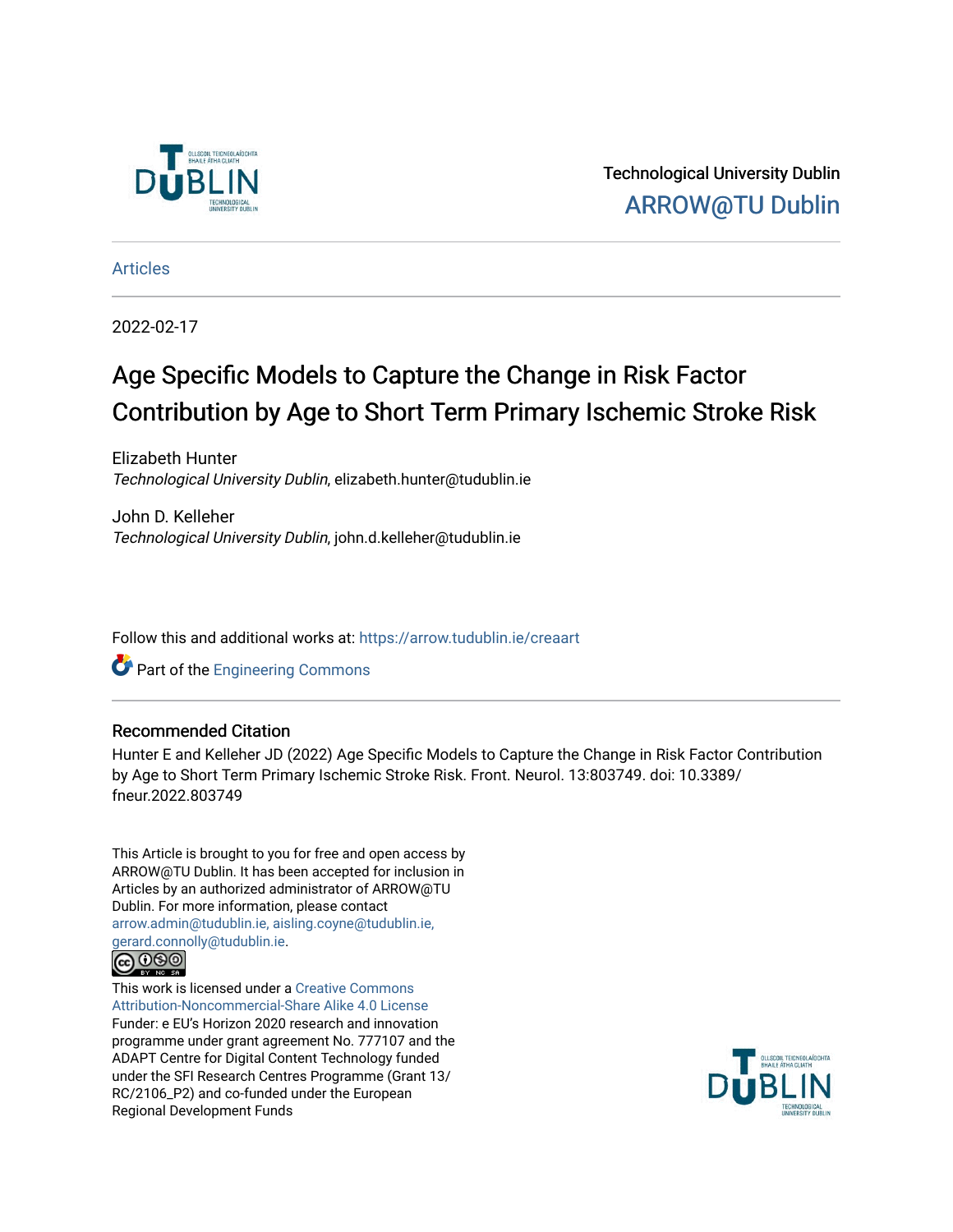

Technological University Dublin [ARROW@TU Dublin](https://arrow.tudublin.ie/) 

[Articles](https://arrow.tudublin.ie/creaart)

2022-02-17

# Age Specific Models to Capture the Change in Risk Factor Contribution by Age to Short Term Primary Ischemic Stroke Risk

Elizabeth Hunter Technological University Dublin, elizabeth.hunter@tudublin.ie

John D. Kelleher Technological University Dublin, john.d.kelleher@tudublin.ie

Follow this and additional works at: [https://arrow.tudublin.ie/creaart](https://arrow.tudublin.ie/creaart?utm_source=arrow.tudublin.ie%2Fcreaart%2F55&utm_medium=PDF&utm_campaign=PDFCoverPages) 

**Part of the [Engineering Commons](http://network.bepress.com/hgg/discipline/217?utm_source=arrow.tudublin.ie%2Fcreaart%2F55&utm_medium=PDF&utm_campaign=PDFCoverPages)** 

# Recommended Citation

Hunter E and Kelleher JD (2022) Age Specific Models to Capture the Change in Risk Factor Contribution by Age to Short Term Primary Ischemic Stroke Risk. Front. Neurol. 13:803749. doi: 10.3389/ fneur.2022.803749

This Article is brought to you for free and open access by ARROW@TU Dublin. It has been accepted for inclusion in Articles by an authorized administrator of ARROW@TU Dublin. For more information, please contact [arrow.admin@tudublin.ie, aisling.coyne@tudublin.ie,](mailto:arrow.admin@tudublin.ie,%20aisling.coyne@tudublin.ie,%20gerard.connolly@tudublin.ie)  [gerard.connolly@tudublin.ie](mailto:arrow.admin@tudublin.ie,%20aisling.coyne@tudublin.ie,%20gerard.connolly@tudublin.ie).



This work is licensed under a [Creative Commons](http://creativecommons.org/licenses/by-nc-sa/4.0/) [Attribution-Noncommercial-Share Alike 4.0 License](http://creativecommons.org/licenses/by-nc-sa/4.0/) Funder: e EU's Horizon 2020 research and innovation programme under grant agreement No. 777107 and the ADAPT Centre for Digital Content Technology funded under the SFI Research Centres Programme (Grant 13/ RC/2106\_P2) and co-funded under the European Regional Development Funds

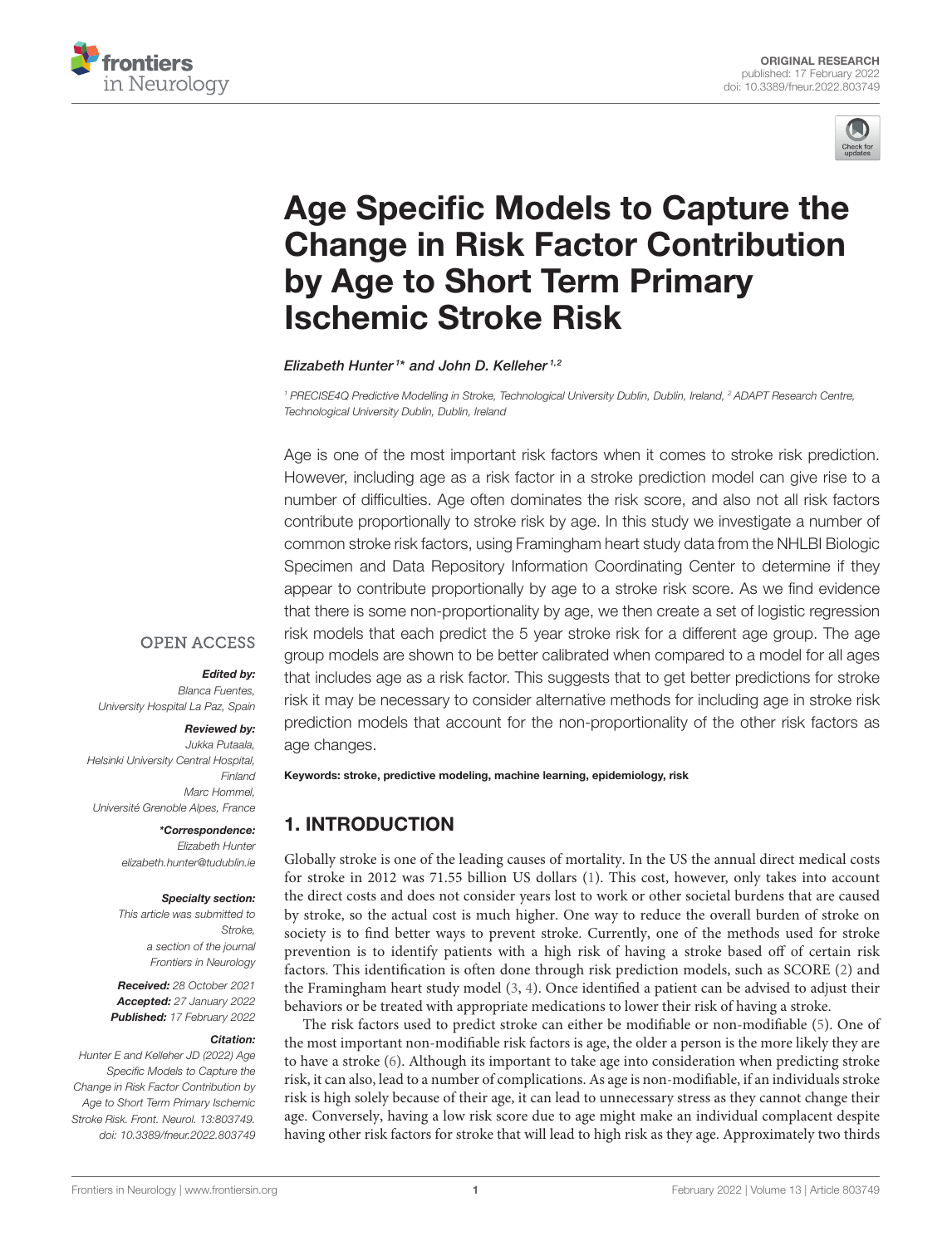



# Age Specific Models to Capture the [Change in Risk Factor Contribution](https://www.frontiersin.org/articles/10.3389/fneur.2022.803749/full) by Age to Short Term Primary Ischemic Stroke Risk

Elizabeth Hunter<sup>1\*</sup> and John D. Kelleher<sup>1,2</sup>

<sup>1</sup> PRECISE4Q Predictive Modelling in Stroke, Technological University Dublin, Dublin, Ireland, <sup>2</sup> ADAPT Research Centre, Technological University Dublin, Dublin, Ireland

Age is one of the most important risk factors when it comes to stroke risk prediction. However, including age as a risk factor in a stroke prediction model can give rise to a number of difficulties. Age often dominates the risk score, and also not all risk factors contribute proportionally to stroke risk by age. In this study we investigate a number of common stroke risk factors, using Framingham heart study data from the NHLBI Biologic Specimen and Data Repository Information Coordinating Center to determine if they appear to contribute proportionally by age to a stroke risk score. As we find evidence that there is some non-proportionality by age, we then create a set of logistic regression risk models that each predict the 5 year stroke risk for a different age group. The age group models are shown to be better calibrated when compared to a model for all ages that includes age as a risk factor. This suggests that to get better predictions for stroke risk it may be necessary to consider alternative methods for including age in stroke risk prediction models that account for the non-proportionality of the other risk factors as age changes.

#### **OPEN ACCESS**

#### Edited by:

Blanca Fuentes, University Hospital La Paz, Spain

#### Reviewed by:

Jukka Putaala, Helsinki University Central Hospital, Finland Marc Hommel, Université Grenoble Alpes, France

> \*Correspondence: Elizabeth Hunter [elizabeth.hunter@tudublin.ie](mailto:elizabeth.hunter@tudublin.ie)

#### Specialty section:

This article was submitted to Stroke, a section of the journal Frontiers in Neurology

Received: 28 October 2021 Accepted: 27 January 2022 Published: 17 February 2022

#### Citation:

Hunter E and Kelleher JD (2022) Age Specific Models to Capture the Change in Risk Factor Contribution by Age to Short Term Primary Ischemic Stroke Risk. Front. Neurol. 13:803749. doi: [10.3389/fneur.2022.803749](https://doi.org/10.3389/fneur.2022.803749) Keywords: stroke, predictive modeling, machine learning, epidemiology, risk

# 1. INTRODUCTION

Globally stroke is one of the leading causes of mortality. In the US the annual direct medical costs for stroke in 2012 was 71.55 billion US dollars [\(1\)](#page-10-0). This cost, however, only takes into account the direct costs and does not consider years lost to work or other societal burdens that are caused by stroke, so the actual cost is much higher. One way to reduce the overall burden of stroke on society is to find better ways to prevent stroke. Currently, one of the methods used for stroke prevention is to identify patients with a high risk of having a stroke based off of certain risk factors. This identification is often done through risk prediction models, such as SCORE [\(2\)](#page-10-1) and the Framingham heart study model [\(3,](#page-10-2) [4\)](#page-10-3). Once identified a patient can be advised to adjust their behaviors or be treated with appropriate medications to lower their risk of having a stroke.

The risk factors used to predict stroke can either be modifiable or non-modifiable [\(5\)](#page-10-4). One of the most important non-modifiable risk factors is age, the older a person is the more likely they are to have a stroke [\(6\)](#page-10-5). Although its important to take age into consideration when predicting stroke risk, it can also, lead to a number of complications. As age is non-modifiable, if an individuals stroke risk is high solely because of their age, it can lead to unnecessary stress as they cannot change their age. Conversely, having a low risk score due to age might make an individual complacent despite having other risk factors for stroke that will lead to high risk as they age. Approximately two thirds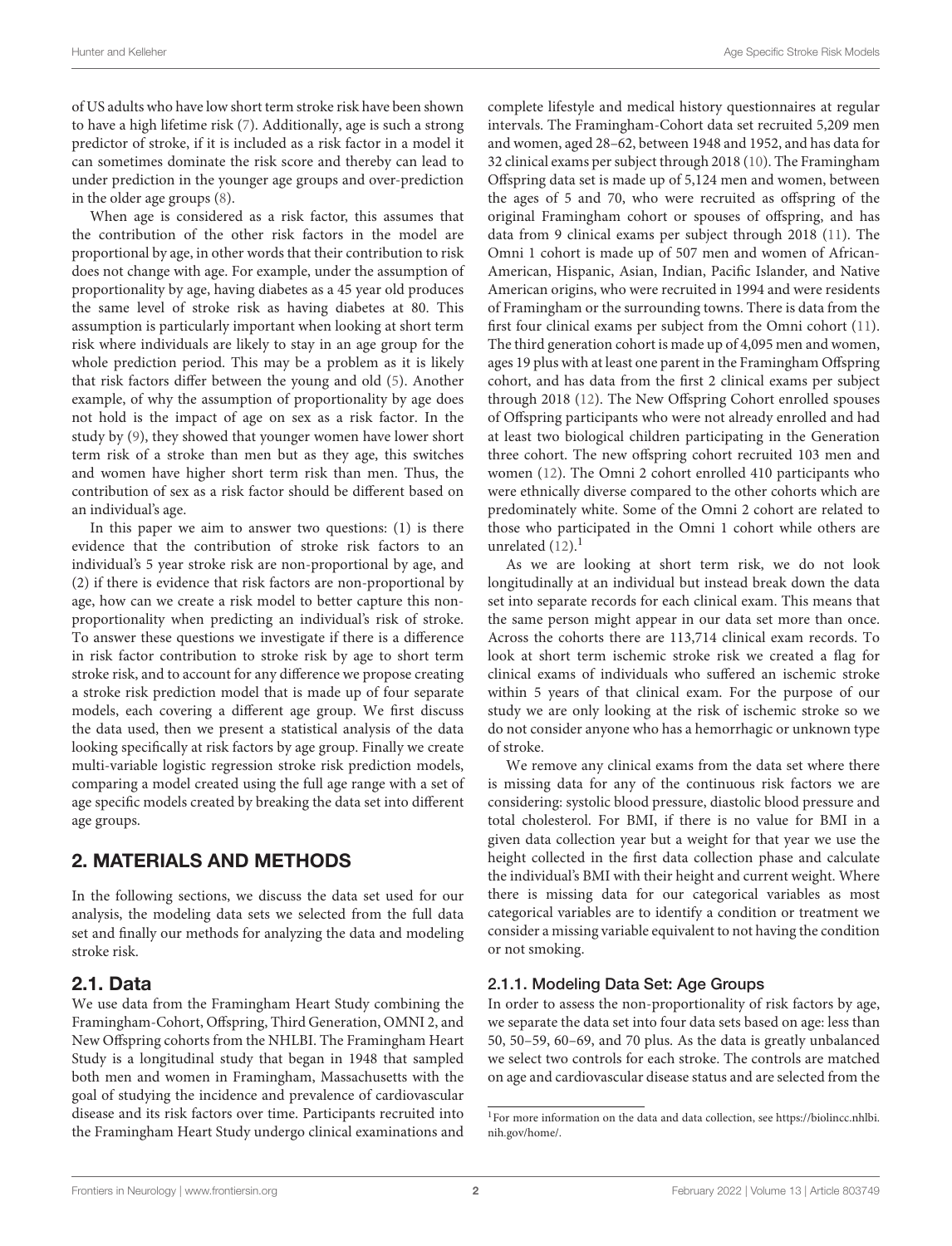of US adults who have low short term stroke risk have been shown to have a high lifetime risk [\(7\)](#page-10-6). Additionally, age is such a strong predictor of stroke, if it is included as a risk factor in a model it can sometimes dominate the risk score and thereby can lead to under prediction in the younger age groups and over-prediction in the older age groups [\(8\)](#page-11-0).

When age is considered as a risk factor, this assumes that the contribution of the other risk factors in the model are proportional by age, in other words that their contribution to risk does not change with age. For example, under the assumption of proportionality by age, having diabetes as a 45 year old produces the same level of stroke risk as having diabetes at 80. This assumption is particularly important when looking at short term risk where individuals are likely to stay in an age group for the whole prediction period. This may be a problem as it is likely that risk factors differ between the young and old [\(5\)](#page-10-4). Another example, of why the assumption of proportionality by age does not hold is the impact of age on sex as a risk factor. In the study by [\(9\)](#page-11-1), they showed that younger women have lower short term risk of a stroke than men but as they age, this switches and women have higher short term risk than men. Thus, the contribution of sex as a risk factor should be different based on an individual's age.

In this paper we aim to answer two questions: (1) is there evidence that the contribution of stroke risk factors to an individual's 5 year stroke risk are non-proportional by age, and (2) if there is evidence that risk factors are non-proportional by age, how can we create a risk model to better capture this nonproportionality when predicting an individual's risk of stroke. To answer these questions we investigate if there is a difference in risk factor contribution to stroke risk by age to short term stroke risk, and to account for any difference we propose creating a stroke risk prediction model that is made up of four separate models, each covering a different age group. We first discuss the data used, then we present a statistical analysis of the data looking specifically at risk factors by age group. Finally we create multi-variable logistic regression stroke risk prediction models, comparing a model created using the full age range with a set of age specific models created by breaking the data set into different age groups.

# 2. MATERIALS AND METHODS

In the following sections, we discuss the data set used for our analysis, the modeling data sets we selected from the full data set and finally our methods for analyzing the data and modeling stroke risk.

# 2.1. Data

We use data from the Framingham Heart Study combining the Framingham-Cohort, Offspring, Third Generation, OMNI 2, and New Offspring cohorts from the NHLBI. The Framingham Heart Study is a longitudinal study that began in 1948 that sampled both men and women in Framingham, Massachusetts with the goal of studying the incidence and prevalence of cardiovascular disease and its risk factors over time. Participants recruited into the Framingham Heart Study undergo clinical examinations and complete lifestyle and medical history questionnaires at regular intervals. The Framingham-Cohort data set recruited 5,209 men and women, aged 28–62, between 1948 and 1952, and has data for 32 clinical exams per subject through 2018 [\(10\)](#page-11-2). The Framingham Offspring data set is made up of 5,124 men and women, between the ages of 5 and 70, who were recruited as offspring of the original Framingham cohort or spouses of offspring, and has data from 9 clinical exams per subject through 2018 [\(11\)](#page-11-3). The Omni 1 cohort is made up of 507 men and women of African-American, Hispanic, Asian, Indian, Pacific Islander, and Native American origins, who were recruited in 1994 and were residents of Framingham or the surrounding towns. There is data from the first four clinical exams per subject from the Omni cohort [\(11\)](#page-11-3). The third generation cohort is made up of 4,095 men and women, ages 19 plus with at least one parent in the Framingham Offspring cohort, and has data from the first 2 clinical exams per subject through 2018 [\(12\)](#page-11-4). The New Offspring Cohort enrolled spouses of Offspring participants who were not already enrolled and had at least two biological children participating in the Generation three cohort. The new offspring cohort recruited 103 men and women [\(12\)](#page-11-4). The Omni 2 cohort enrolled 410 participants who were ethnically diverse compared to the other cohorts which are predominately white. Some of the Omni 2 cohort are related to those who participated in the Omni 1 cohort while others are unrelated  $(12).<sup>1</sup>$  $(12).<sup>1</sup>$  $(12).<sup>1</sup>$ 

As we are looking at short term risk, we do not look longitudinally at an individual but instead break down the data set into separate records for each clinical exam. This means that the same person might appear in our data set more than once. Across the cohorts there are 113,714 clinical exam records. To look at short term ischemic stroke risk we created a flag for clinical exams of individuals who suffered an ischemic stroke within 5 years of that clinical exam. For the purpose of our study we are only looking at the risk of ischemic stroke so we do not consider anyone who has a hemorrhagic or unknown type of stroke.

We remove any clinical exams from the data set where there is missing data for any of the continuous risk factors we are considering: systolic blood pressure, diastolic blood pressure and total cholesterol. For BMI, if there is no value for BMI in a given data collection year but a weight for that year we use the height collected in the first data collection phase and calculate the individual's BMI with their height and current weight. Where there is missing data for our categorical variables as most categorical variables are to identify a condition or treatment we consider a missing variable equivalent to not having the condition or not smoking.

# 2.1.1. Modeling Data Set: Age Groups

In order to assess the non-proportionality of risk factors by age, we separate the data set into four data sets based on age: less than 50, 50–59, 60–69, and 70 plus. As the data is greatly unbalanced we select two controls for each stroke. The controls are matched on age and cardiovascular disease status and are selected from the

<span id="page-2-0"></span><sup>&</sup>lt;sup>1</sup>For more information on the data and data collection, see [https://biolincc.nhlbi.](https://biolincc.nhlbi.nih.gov/home/) [nih.gov/home/.](https://biolincc.nhlbi.nih.gov/home/)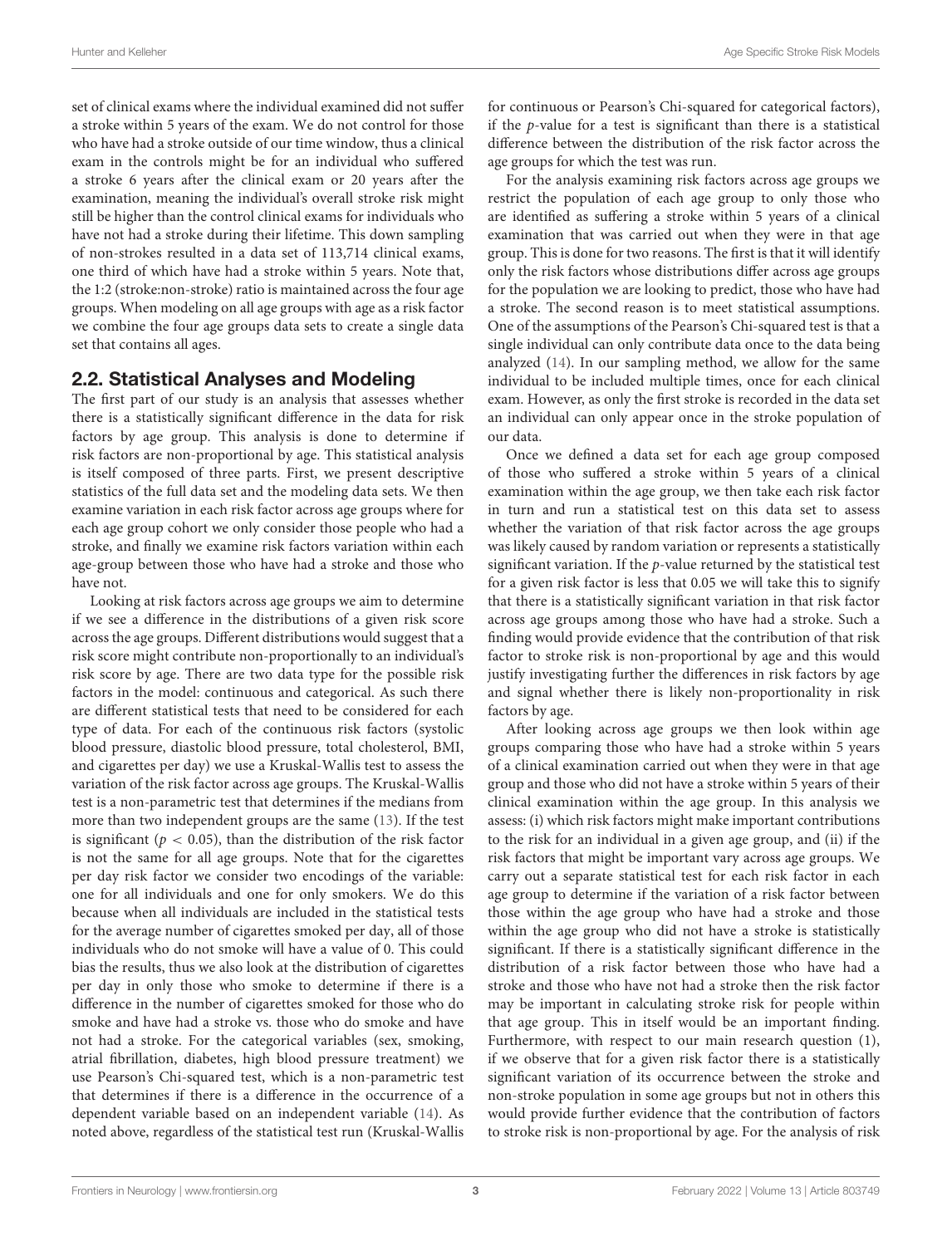set of clinical exams where the individual examined did not suffer a stroke within 5 years of the exam. We do not control for those who have had a stroke outside of our time window, thus a clinical exam in the controls might be for an individual who suffered a stroke 6 years after the clinical exam or 20 years after the examination, meaning the individual's overall stroke risk might still be higher than the control clinical exams for individuals who have not had a stroke during their lifetime. This down sampling of non-strokes resulted in a data set of 113,714 clinical exams, one third of which have had a stroke within 5 years. Note that, the 1:2 (stroke:non-stroke) ratio is maintained across the four age groups. When modeling on all age groups with age as a risk factor we combine the four age groups data sets to create a single data set that contains all ages.

# 2.2. Statistical Analyses and Modeling

The first part of our study is an analysis that assesses whether there is a statistically significant difference in the data for risk factors by age group. This analysis is done to determine if risk factors are non-proportional by age. This statistical analysis is itself composed of three parts. First, we present descriptive statistics of the full data set and the modeling data sets. We then examine variation in each risk factor across age groups where for each age group cohort we only consider those people who had a stroke, and finally we examine risk factors variation within each age-group between those who have had a stroke and those who have not.

Looking at risk factors across age groups we aim to determine if we see a difference in the distributions of a given risk score across the age groups. Different distributions would suggest that a risk score might contribute non-proportionally to an individual's risk score by age. There are two data type for the possible risk factors in the model: continuous and categorical. As such there are different statistical tests that need to be considered for each type of data. For each of the continuous risk factors (systolic blood pressure, diastolic blood pressure, total cholesterol, BMI, and cigarettes per day) we use a Kruskal-Wallis test to assess the variation of the risk factor across age groups. The Kruskal-Wallis test is a non-parametric test that determines if the medians from more than two independent groups are the same [\(13\)](#page-11-5). If the test is significant ( $p < 0.05$ ), than the distribution of the risk factor is not the same for all age groups. Note that for the cigarettes per day risk factor we consider two encodings of the variable: one for all individuals and one for only smokers. We do this because when all individuals are included in the statistical tests for the average number of cigarettes smoked per day, all of those individuals who do not smoke will have a value of 0. This could bias the results, thus we also look at the distribution of cigarettes per day in only those who smoke to determine if there is a difference in the number of cigarettes smoked for those who do smoke and have had a stroke vs. those who do smoke and have not had a stroke. For the categorical variables (sex, smoking, atrial fibrillation, diabetes, high blood pressure treatment) we use Pearson's Chi-squared test, which is a non-parametric test that determines if there is a difference in the occurrence of a dependent variable based on an independent variable [\(14\)](#page-11-6). As noted above, regardless of the statistical test run (Kruskal-Wallis for continuous or Pearson's Chi-squared for categorical factors), if the p-value for a test is significant than there is a statistical difference between the distribution of the risk factor across the age groups for which the test was run.

For the analysis examining risk factors across age groups we restrict the population of each age group to only those who are identified as suffering a stroke within 5 years of a clinical examination that was carried out when they were in that age group. This is done for two reasons. The first is that it will identify only the risk factors whose distributions differ across age groups for the population we are looking to predict, those who have had a stroke. The second reason is to meet statistical assumptions. One of the assumptions of the Pearson's Chi-squared test is that a single individual can only contribute data once to the data being analyzed [\(14\)](#page-11-6). In our sampling method, we allow for the same individual to be included multiple times, once for each clinical exam. However, as only the first stroke is recorded in the data set an individual can only appear once in the stroke population of our data.

Once we defined a data set for each age group composed of those who suffered a stroke within 5 years of a clinical examination within the age group, we then take each risk factor in turn and run a statistical test on this data set to assess whether the variation of that risk factor across the age groups was likely caused by random variation or represents a statistically significant variation. If the  $p$ -value returned by the statistical test for a given risk factor is less that 0.05 we will take this to signify that there is a statistically significant variation in that risk factor across age groups among those who have had a stroke. Such a finding would provide evidence that the contribution of that risk factor to stroke risk is non-proportional by age and this would justify investigating further the differences in risk factors by age and signal whether there is likely non-proportionality in risk factors by age.

After looking across age groups we then look within age groups comparing those who have had a stroke within 5 years of a clinical examination carried out when they were in that age group and those who did not have a stroke within 5 years of their clinical examination within the age group. In this analysis we assess: (i) which risk factors might make important contributions to the risk for an individual in a given age group, and (ii) if the risk factors that might be important vary across age groups. We carry out a separate statistical test for each risk factor in each age group to determine if the variation of a risk factor between those within the age group who have had a stroke and those within the age group who did not have a stroke is statistically significant. If there is a statistically significant difference in the distribution of a risk factor between those who have had a stroke and those who have not had a stroke then the risk factor may be important in calculating stroke risk for people within that age group. This in itself would be an important finding. Furthermore, with respect to our main research question (1), if we observe that for a given risk factor there is a statistically significant variation of its occurrence between the stroke and non-stroke population in some age groups but not in others this would provide further evidence that the contribution of factors to stroke risk is non-proportional by age. For the analysis of risk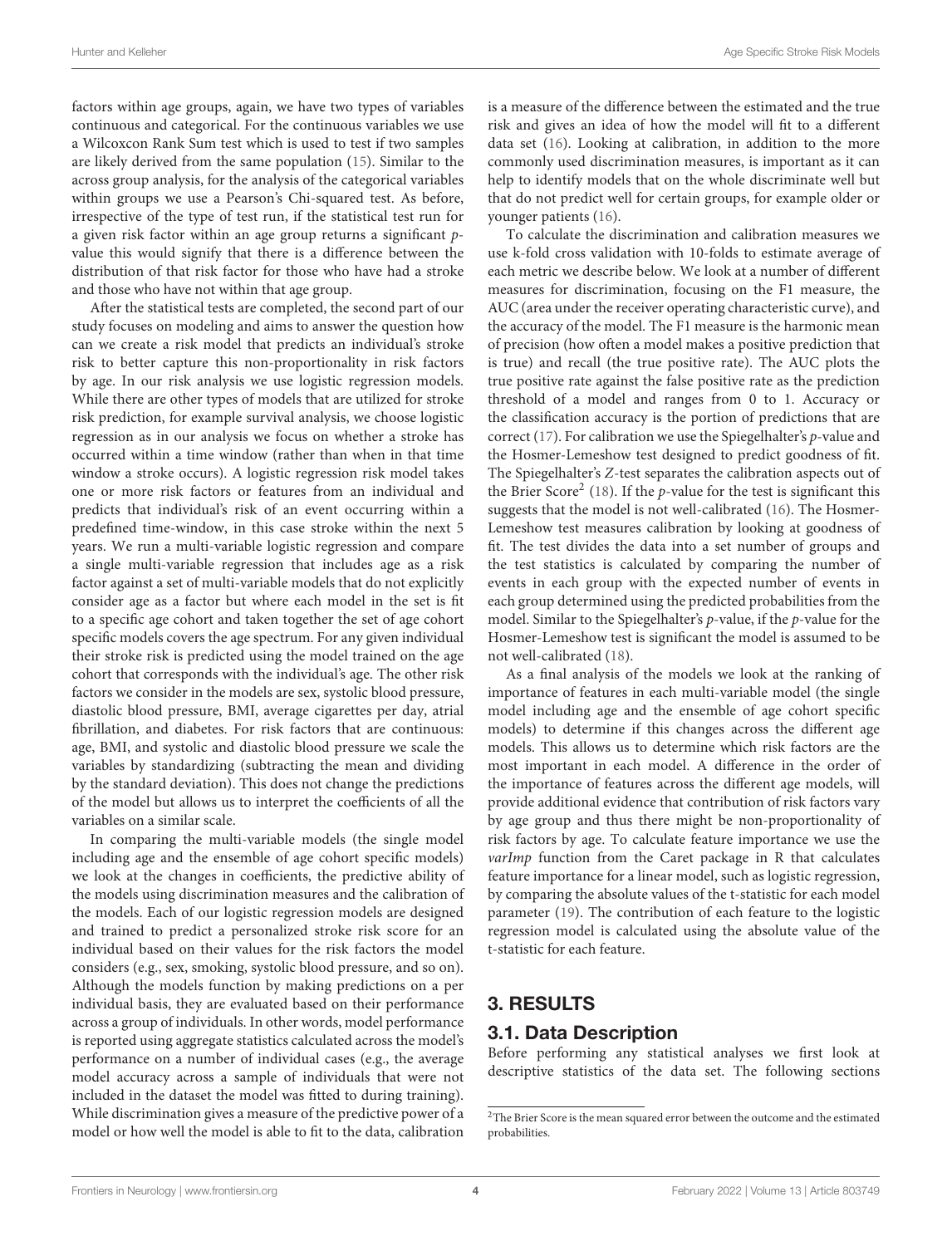factors within age groups, again, we have two types of variables continuous and categorical. For the continuous variables we use a Wilcoxcon Rank Sum test which is used to test if two samples are likely derived from the same population [\(15\)](#page-11-7). Similar to the across group analysis, for the analysis of the categorical variables within groups we use a Pearson's Chi-squared test. As before, irrespective of the type of test run, if the statistical test run for a given risk factor within an age group returns a significant pvalue this would signify that there is a difference between the distribution of that risk factor for those who have had a stroke and those who have not within that age group.

After the statistical tests are completed, the second part of our study focuses on modeling and aims to answer the question how can we create a risk model that predicts an individual's stroke risk to better capture this non-proportionality in risk factors by age. In our risk analysis we use logistic regression models. While there are other types of models that are utilized for stroke risk prediction, for example survival analysis, we choose logistic regression as in our analysis we focus on whether a stroke has occurred within a time window (rather than when in that time window a stroke occurs). A logistic regression risk model takes one or more risk factors or features from an individual and predicts that individual's risk of an event occurring within a predefined time-window, in this case stroke within the next 5 years. We run a multi-variable logistic regression and compare a single multi-variable regression that includes age as a risk factor against a set of multi-variable models that do not explicitly consider age as a factor but where each model in the set is fit to a specific age cohort and taken together the set of age cohort specific models covers the age spectrum. For any given individual their stroke risk is predicted using the model trained on the age cohort that corresponds with the individual's age. The other risk factors we consider in the models are sex, systolic blood pressure, diastolic blood pressure, BMI, average cigarettes per day, atrial fibrillation, and diabetes. For risk factors that are continuous: age, BMI, and systolic and diastolic blood pressure we scale the variables by standardizing (subtracting the mean and dividing by the standard deviation). This does not change the predictions of the model but allows us to interpret the coefficients of all the variables on a similar scale.

In comparing the multi-variable models (the single model including age and the ensemble of age cohort specific models) we look at the changes in coefficients, the predictive ability of the models using discrimination measures and the calibration of the models. Each of our logistic regression models are designed and trained to predict a personalized stroke risk score for an individual based on their values for the risk factors the model considers (e.g., sex, smoking, systolic blood pressure, and so on). Although the models function by making predictions on a per individual basis, they are evaluated based on their performance across a group of individuals. In other words, model performance is reported using aggregate statistics calculated across the model's performance on a number of individual cases (e.g., the average model accuracy across a sample of individuals that were not included in the dataset the model was fitted to during training). While discrimination gives a measure of the predictive power of a model or how well the model is able to fit to the data, calibration is a measure of the difference between the estimated and the true risk and gives an idea of how the model will fit to a different data set [\(16\)](#page-11-8). Looking at calibration, in addition to the more commonly used discrimination measures, is important as it can help to identify models that on the whole discriminate well but that do not predict well for certain groups, for example older or younger patients [\(16\)](#page-11-8).

To calculate the discrimination and calibration measures we use k-fold cross validation with 10-folds to estimate average of each metric we describe below. We look at a number of different measures for discrimination, focusing on the F1 measure, the AUC (area under the receiver operating characteristic curve), and the accuracy of the model. The F1 measure is the harmonic mean of precision (how often a model makes a positive prediction that is true) and recall (the true positive rate). The AUC plots the true positive rate against the false positive rate as the prediction threshold of a model and ranges from 0 to 1. Accuracy or the classification accuracy is the portion of predictions that are correct [\(17\)](#page-11-9). For calibration we use the Spiegelhalter's  $p$ -value and the Hosmer-Lemeshow test designed to predict goodness of fit. The Spiegelhalter's Z-test separates the calibration aspects out of the Brier Score<sup>[2](#page-4-0)</sup> [\(18\)](#page-11-10). If the *p*-value for the test is significant this suggests that the model is not well-calibrated [\(16\)](#page-11-8). The Hosmer-Lemeshow test measures calibration by looking at goodness of fit. The test divides the data into a set number of groups and the test statistics is calculated by comparing the number of events in each group with the expected number of events in each group determined using the predicted probabilities from the model. Similar to the Spiegelhalter's p-value, if the p-value for the Hosmer-Lemeshow test is significant the model is assumed to be not well-calibrated [\(18\)](#page-11-10).

As a final analysis of the models we look at the ranking of importance of features in each multi-variable model (the single model including age and the ensemble of age cohort specific models) to determine if this changes across the different age models. This allows us to determine which risk factors are the most important in each model. A difference in the order of the importance of features across the different age models, will provide additional evidence that contribution of risk factors vary by age group and thus there might be non-proportionality of risk factors by age. To calculate feature importance we use the varImp function from the Caret package in R that calculates feature importance for a linear model, such as logistic regression, by comparing the absolute values of the t-statistic for each model parameter [\(19\)](#page-11-11). The contribution of each feature to the logistic regression model is calculated using the absolute value of the t-statistic for each feature.

# 3. RESULTS

# 3.1. Data Description

Before performing any statistical analyses we first look at descriptive statistics of the data set. The following sections

<span id="page-4-0"></span><sup>&</sup>lt;sup>2</sup>The Brier Score is the mean squared error between the outcome and the estimated probabilities.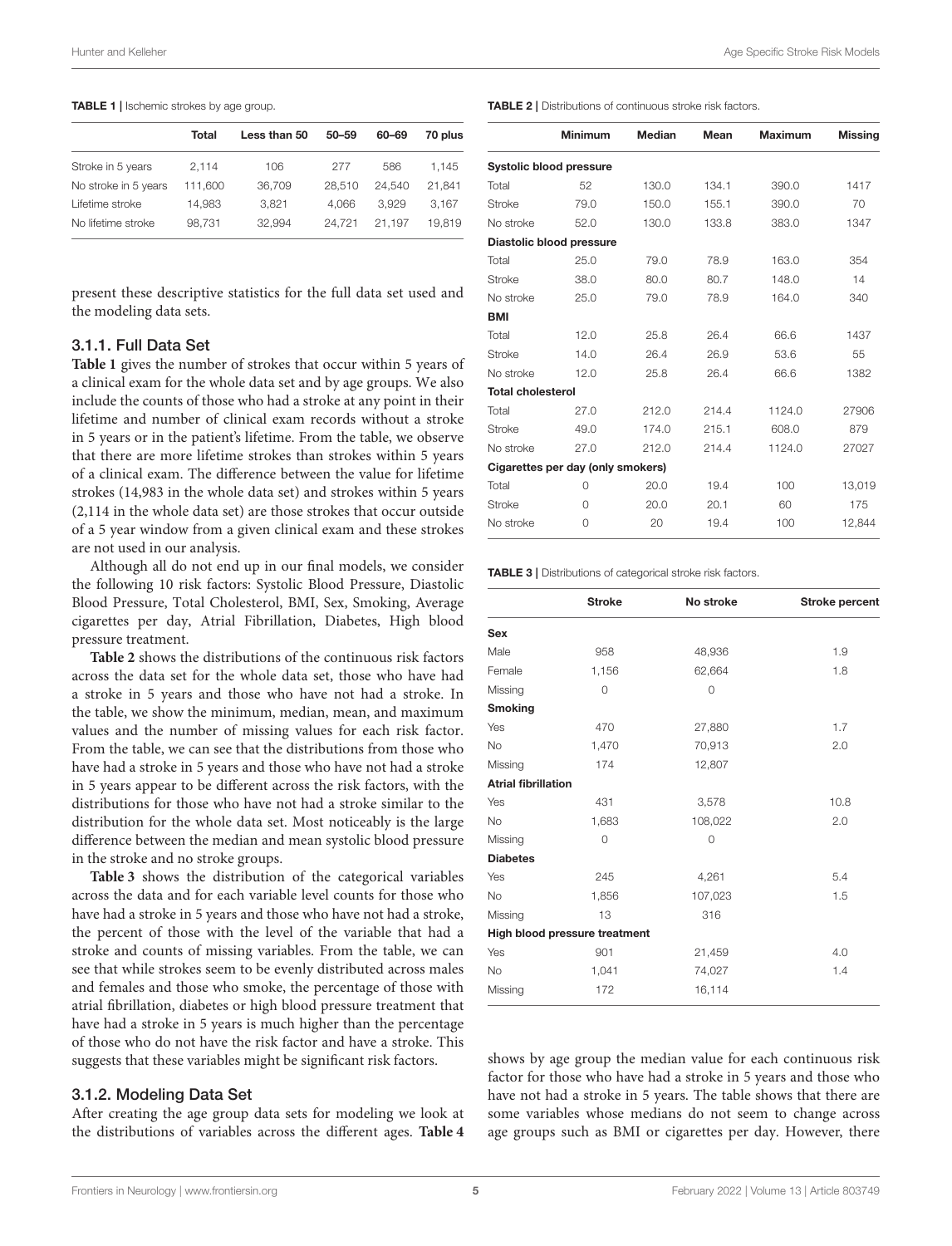#### <span id="page-5-0"></span>TABLE 1 | Ischemic strokes by age group.

| 70 plus |
|---------|
|         |
| 1.145   |
| 21.841  |
| 3.167   |
| 19.819  |
|         |

present these descriptive statistics for the full data set used and the modeling data sets.

#### 3.1.1. Full Data Set

**[Table 1](#page-5-0)** gives the number of strokes that occur within 5 years of a clinical exam for the whole data set and by age groups. We also include the counts of those who had a stroke at any point in their lifetime and number of clinical exam records without a stroke in 5 years or in the patient's lifetime. From the table, we observe that there are more lifetime strokes than strokes within 5 years of a clinical exam. The difference between the value for lifetime strokes (14,983 in the whole data set) and strokes within 5 years (2,114 in the whole data set) are those strokes that occur outside of a 5 year window from a given clinical exam and these strokes are not used in our analysis.

Although all do not end up in our final models, we consider the following 10 risk factors: Systolic Blood Pressure, Diastolic Blood Pressure, Total Cholesterol, BMI, Sex, Smoking, Average cigarettes per day, Atrial Fibrillation, Diabetes, High blood pressure treatment.

**[Table 2](#page-5-1)** shows the distributions of the continuous risk factors across the data set for the whole data set, those who have had a stroke in 5 years and those who have not had a stroke. In the table, we show the minimum, median, mean, and maximum values and the number of missing values for each risk factor. From the table, we can see that the distributions from those who have had a stroke in 5 years and those who have not had a stroke in 5 years appear to be different across the risk factors, with the distributions for those who have not had a stroke similar to the distribution for the whole data set. Most noticeably is the large difference between the median and mean systolic blood pressure in the stroke and no stroke groups.

**[Table 3](#page-5-2)** shows the distribution of the categorical variables across the data and for each variable level counts for those who have had a stroke in 5 years and those who have not had a stroke, the percent of those with the level of the variable that had a stroke and counts of missing variables. From the table, we can see that while strokes seem to be evenly distributed across males and females and those who smoke, the percentage of those with atrial fibrillation, diabetes or high blood pressure treatment that have had a stroke in 5 years is much higher than the percentage of those who do not have the risk factor and have a stroke. This suggests that these variables might be significant risk factors.

#### 3.1.2. Modeling Data Set

After creating the age group data sets for modeling we look at the distributions of variables across the different ages. **[Table 4](#page-6-0)**

<span id="page-5-1"></span>

|                          | <b>Minimum</b>                    | Median | Mean  | <b>Maximum</b> | <b>Missing</b> |
|--------------------------|-----------------------------------|--------|-------|----------------|----------------|
|                          | <b>Systolic blood pressure</b>    |        |       |                |                |
| Total                    | 52                                | 130.0  | 134.1 | 390.0          | 1417           |
| <b>Stroke</b>            | 79.0                              | 150.0  | 155.1 | 390.0          | 70             |
| No stroke                | 52.0                              | 130.0  | 133.8 | 383.0          | 1347           |
|                          | Diastolic blood pressure          |        |       |                |                |
| Total                    | 25.0                              | 79.0   | 78.9  | 163.0          | 354            |
| <b>Stroke</b>            | 38.0                              | 80.0   | 80.7  | 148.0          | 14             |
| No stroke                | 25.0                              | 79.0   | 78.9  | 164.0          | 340            |
| <b>BMI</b>               |                                   |        |       |                |                |
| Total                    | 12.0                              | 25.8   | 26.4  | 66.6           | 1437           |
| <b>Stroke</b>            | 14.0                              | 26.4   | 26.9  | 53.6           | 55             |
| No stroke                | 12.0                              | 25.8   | 26.4  | 66.6           | 1382           |
| <b>Total cholesterol</b> |                                   |        |       |                |                |
| Total                    | 27.0                              | 212.0  | 214.4 | 1124.0         | 27906          |
| <b>Stroke</b>            | 49.0                              | 174.0  | 215.1 | 608.0          | 879            |
| No stroke                | 27.0                              | 212.0  | 214.4 | 1124.0         | 27027          |
|                          | Cigarettes per day (only smokers) |        |       |                |                |
| Total                    | 0                                 | 20.0   | 19.4  | 100            | 13,019         |
| <b>Stroke</b>            | $\Omega$                          | 20.0   | 20.1  | 60             | 175            |
| No stroke                | $\Omega$                          | 20     | 19.4  | 100            | 12,844         |

<span id="page-5-2"></span>TABLE 3 | Distributions of categorical stroke risk factors.

|                            | <b>Stroke</b>                 | No stroke   | Stroke percent |
|----------------------------|-------------------------------|-------------|----------------|
| Sex                        |                               |             |                |
| Male                       | 958                           | 48,936      | 1.9            |
| Female                     | 1,156                         | 62,664      | 1.8            |
| Missing                    | $\circ$                       | $\mathbf 0$ |                |
| <b>Smoking</b>             |                               |             |                |
| Yes                        | 470                           | 27,880      | 1.7            |
| <b>No</b>                  | 1,470                         | 70,913      | 2.0            |
| Missing                    | 174                           | 12,807      |                |
| <b>Atrial fibrillation</b> |                               |             |                |
| Yes                        | 431                           | 3,578       | 10.8           |
| <b>No</b>                  | 1,683                         | 108,022     | 2.0            |
| Missing                    | $\circ$                       | $\circ$     |                |
| <b>Diabetes</b>            |                               |             |                |
| Yes                        | 245                           | 4,261       | 5.4            |
| <b>No</b>                  | 1,856                         | 107,023     | 1.5            |
| Missing                    | 13                            | 316         |                |
|                            | High blood pressure treatment |             |                |
| Yes                        | 901                           | 21,459      | 4.0            |
| No                         | 1,041                         | 74,027      | 1.4            |
| Missing                    | 172                           | 16,114      |                |

shows by age group the median value for each continuous risk factor for those who have had a stroke in 5 years and those who have not had a stroke in 5 years. The table shows that there are some variables whose medians do not seem to change across age groups such as BMI or cigarettes per day. However, there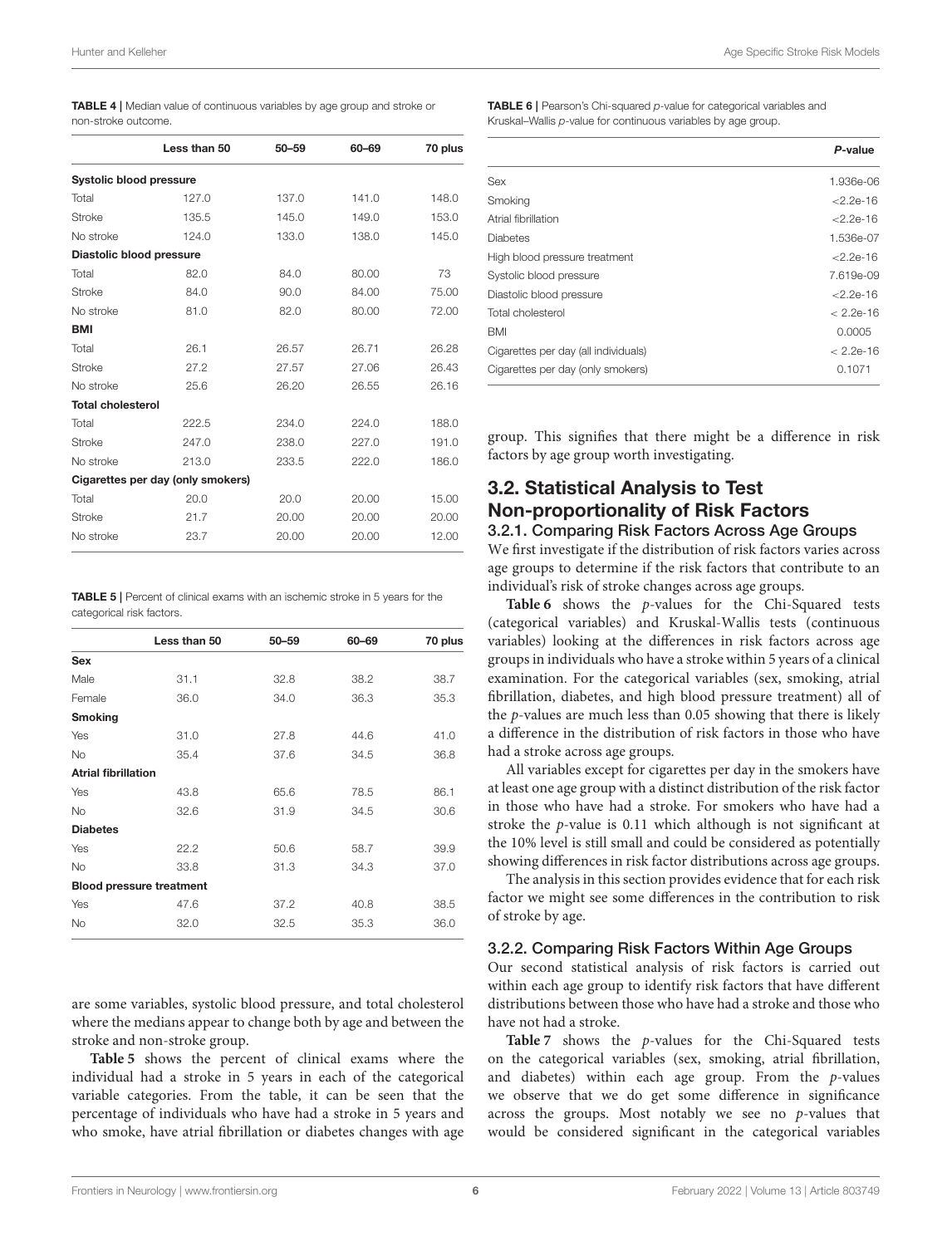<span id="page-6-0"></span>

| <b>TABLE 4</b>   Median value of continuous variables by age group and stroke or |  |  |  |
|----------------------------------------------------------------------------------|--|--|--|
| non-stroke outcome.                                                              |  |  |  |

|                                | Less than 50                      | $50 - 59$ | 60-69 | 70 plus |
|--------------------------------|-----------------------------------|-----------|-------|---------|
| <b>Systolic blood pressure</b> |                                   |           |       |         |
| Total                          | 127.0                             | 137.0     | 141.0 | 148.0   |
| <b>Stroke</b>                  | 135.5                             | 145.0     | 149.0 | 153.0   |
| No stroke                      | 124.0                             | 133.0     | 138.0 | 145.0   |
| Diastolic blood pressure       |                                   |           |       |         |
| Total                          | 82.0                              | 84.0      | 80.00 | 73      |
| <b>Stroke</b>                  | 84.0                              | 90.0      | 84.00 | 75.00   |
| No stroke                      | 81.0                              | 82.0      | 80.00 | 72.00   |
| <b>BMI</b>                     |                                   |           |       |         |
| Total                          | 26.1                              | 26.57     | 26.71 | 26.28   |
| Stroke                         | 27.2                              | 27.57     | 27.06 | 26.43   |
| No stroke                      | 25.6                              | 26.20     | 26.55 | 26.16   |
| <b>Total cholesterol</b>       |                                   |           |       |         |
| Total                          | 222.5                             | 234.0     | 224.0 | 188.0   |
| Stroke                         | 247.0                             | 238.0     | 227.0 | 191.0   |
| No stroke                      | 213.0                             | 233.5     | 222.0 | 186.0   |
|                                | Cigarettes per day (only smokers) |           |       |         |
| Total                          | 20.0                              | 20.0      | 20.00 | 15.00   |
| <b>Stroke</b>                  | 21.7                              | 20.00     | 20.00 | 20.00   |
| No stroke                      | 23.7                              | 20.00     | 20.00 | 12.00   |
|                                |                                   |           |       |         |

<span id="page-6-1"></span>TABLE 5 | Percent of clinical exams with an ischemic stroke in 5 years for the categorical risk factors.

|                            | Less than 50                    | $50 - 59$ | 60-69 | 70 plus |
|----------------------------|---------------------------------|-----------|-------|---------|
| <b>Sex</b>                 |                                 |           |       |         |
| Male                       | 31.1                            | 32.8      | 38.2  | 38.7    |
| Female                     | 36.0                            | 34.0      | 36.3  | 35.3    |
| <b>Smoking</b>             |                                 |           |       |         |
| Yes                        | 31.0                            | 27.8      | 44.6  | 41.0    |
| <b>No</b>                  | 35.4                            | 37.6      | 34.5  | 36.8    |
| <b>Atrial fibrillation</b> |                                 |           |       |         |
| Yes                        | 43.8                            | 65.6      | 78.5  | 86.1    |
| <b>No</b>                  | 32.6                            | 31.9      | 34.5  | 30.6    |
| <b>Diabetes</b>            |                                 |           |       |         |
| Yes                        | 22.2                            | 50.6      | 58.7  | 39.9    |
| <b>No</b>                  | 33.8                            | 31.3      | 34.3  | 37.0    |
|                            | <b>Blood pressure treatment</b> |           |       |         |
| Yes                        | 47.6                            | 37.2      | 40.8  | 38.5    |
| <b>No</b>                  | 32.0                            | 32.5      | 35.3  | 36.0    |
|                            |                                 |           |       |         |

are some variables, systolic blood pressure, and total cholesterol where the medians appear to change both by age and between the stroke and non-stroke group.

**[Table 5](#page-6-1)** shows the percent of clinical exams where the individual had a stroke in 5 years in each of the categorical variable categories. From the table, it can be seen that the percentage of individuals who have had a stroke in 5 years and who smoke, have atrial fibrillation or diabetes changes with age <span id="page-6-2"></span>TABLE 6 | Pearson's Chi-squared p-value for categorical variables and Kruskal–Wallis p-value for continuous variables by age group.

|                                      | P-value       |
|--------------------------------------|---------------|
| Sex                                  | 1.936e-06     |
| Smoking                              | $<$ 2.2e-16   |
| Atrial fibrillation                  | $<$ 2.2e-16   |
| <b>Diabetes</b>                      | 1.536e-07     |
| High blood pressure treatment        | $<$ 2.2e-16   |
| Systolic blood pressure              | 7.619e-09     |
| Diastolic blood pressure             | $<$ 2.2e-16   |
| Total cholesterol                    | $< 2.2e - 16$ |
| <b>BMI</b>                           | 0.0005        |
| Cigarettes per day (all individuals) | $< 2.2e - 16$ |
| Cigarettes per day (only smokers)    | 0.1071        |

group. This signifies that there might be a difference in risk factors by age group worth investigating.

# 3.2. Statistical Analysis to Test Non-proportionality of Risk Factors

#### 3.2.1. Comparing Risk Factors Across Age Groups

We first investigate if the distribution of risk factors varies across age groups to determine if the risk factors that contribute to an individual's risk of stroke changes across age groups.

**[Table 6](#page-6-2)** shows the p-values for the Chi-Squared tests (categorical variables) and Kruskal-Wallis tests (continuous variables) looking at the differences in risk factors across age groups in individuals who have a stroke within 5 years of a clinical examination. For the categorical variables (sex, smoking, atrial fibrillation, diabetes, and high blood pressure treatment) all of the p-values are much less than 0.05 showing that there is likely a difference in the distribution of risk factors in those who have had a stroke across age groups.

All variables except for cigarettes per day in the smokers have at least one age group with a distinct distribution of the risk factor in those who have had a stroke. For smokers who have had a stroke the p-value is 0.11 which although is not significant at the 10% level is still small and could be considered as potentially showing differences in risk factor distributions across age groups.

The analysis in this section provides evidence that for each risk factor we might see some differences in the contribution to risk of stroke by age.

#### 3.2.2. Comparing Risk Factors Within Age Groups

Our second statistical analysis of risk factors is carried out within each age group to identify risk factors that have different distributions between those who have had a stroke and those who have not had a stroke.

**[Table 7](#page-7-0)** shows the p-values for the Chi-Squared tests on the categorical variables (sex, smoking, atrial fibrillation, and diabetes) within each age group. From the  $p$ -values we observe that we do get some difference in significance across the groups. Most notably we see no  $p$ -values that would be considered significant in the categorical variables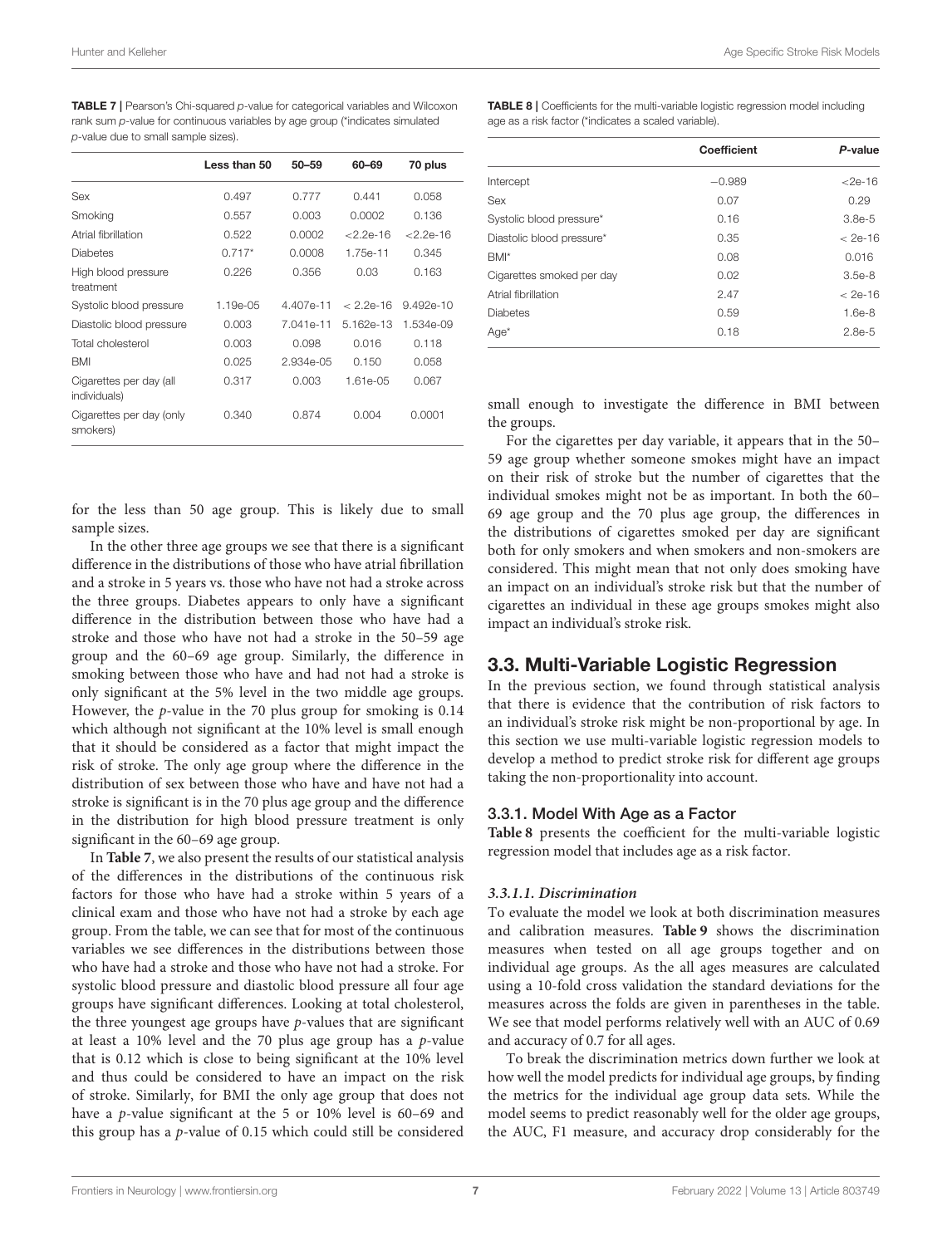<span id="page-7-0"></span>TABLE 7 | Pearson's Chi-squared p-value for categorical variables and Wilcoxon rank sum p-value for continuous variables by age group (\*indicates simulated p-value due to small sample sizes).

|                                         | Less than 50 | $50 - 59$ | 60-69         | 70 plus       |
|-----------------------------------------|--------------|-----------|---------------|---------------|
| Sex                                     | 0.497        | 0.777     | 0.441         | 0.058         |
| Smoking                                 | 0.557        | 0.003     | 0.0002        | 0.136         |
| Atrial fibrillation                     | 0.522        | 0.0002    | $< 2.2e - 16$ | $< 2.2e - 16$ |
| Diabetes                                | $0.717*$     | 0.0008    | 1.75e-11      | 0.345         |
| High blood pressure<br>treatment        | 0.226        | 0.356     | 0.03          | 0.163         |
| Systolic blood pressure                 | 1.19e-05     | 4.407e-11 | $< 229 - 16$  | $9.492e - 10$ |
| Diastolic blood pressure                | 0.003        | 7.041e-11 | 5.162e-13     | 1.534e-09     |
| Total cholesterol                       | 0.003        | 0.098     | 0.016         | 0.118         |
| <b>BMI</b>                              | 0.025        | 2.934e-05 | 0.150         | 0.058         |
| Cigarettes per day (all<br>individuals) | 0.317        | 0.003     | $1.61e-0.5$   | 0.067         |
| Cigarettes per day (only<br>smokers)    | 0.340        | 0.874     | 0.004         | 0.0001        |

for the less than 50 age group. This is likely due to small sample sizes.

In the other three age groups we see that there is a significant difference in the distributions of those who have atrial fibrillation and a stroke in 5 years vs. those who have not had a stroke across the three groups. Diabetes appears to only have a significant difference in the distribution between those who have had a stroke and those who have not had a stroke in the 50–59 age group and the 60–69 age group. Similarly, the difference in smoking between those who have and had not had a stroke is only significant at the 5% level in the two middle age groups. However, the p-value in the 70 plus group for smoking is 0.14 which although not significant at the 10% level is small enough that it should be considered as a factor that might impact the risk of stroke. The only age group where the difference in the distribution of sex between those who have and have not had a stroke is significant is in the 70 plus age group and the difference in the distribution for high blood pressure treatment is only significant in the 60–69 age group.

In **[Table 7](#page-7-0)**, we also present the results of our statistical analysis of the differences in the distributions of the continuous risk factors for those who have had a stroke within 5 years of a clinical exam and those who have not had a stroke by each age group. From the table, we can see that for most of the continuous variables we see differences in the distributions between those who have had a stroke and those who have not had a stroke. For systolic blood pressure and diastolic blood pressure all four age groups have significant differences. Looking at total cholesterol, the three youngest age groups have  $p$ -values that are significant at least a  $10\%$  level and the 70 plus age group has a  $p$ -value that is 0.12 which is close to being significant at the 10% level and thus could be considered to have an impact on the risk of stroke. Similarly, for BMI the only age group that does not have a p-value significant at the 5 or 10% level is 60–69 and this group has a p-value of 0.15 which could still be considered <span id="page-7-1"></span>TABLE 8 | Coefficients for the multi-variable logistic regression model including age as a risk factor (\*indicates a scaled variable).

|                           | Coefficient | P-value     |
|---------------------------|-------------|-------------|
| Intercept                 | $-0.989$    | $<$ 2e-16   |
| <b>Sex</b>                | 0.07        | 0.29        |
| Systolic blood pressure*  | 0.16        | $3.8e-5$    |
| Diastolic blood pressure* | 0.35        | $< 2e - 16$ |
| BMI*                      | 0.08        | 0.016       |
| Cigarettes smoked per day | 0.02        | $3.5e-8$    |
| Atrial fibrillation       | 2.47        | $< 2e - 16$ |
| <b>Diabetes</b>           | 0.59        | $1.6e-8$    |
| $Age*$                    | 0.18        | $2.8e-5$    |

small enough to investigate the difference in BMI between the groups.

For the cigarettes per day variable, it appears that in the 50– 59 age group whether someone smokes might have an impact on their risk of stroke but the number of cigarettes that the individual smokes might not be as important. In both the 60– 69 age group and the 70 plus age group, the differences in the distributions of cigarettes smoked per day are significant both for only smokers and when smokers and non-smokers are considered. This might mean that not only does smoking have an impact on an individual's stroke risk but that the number of cigarettes an individual in these age groups smokes might also impact an individual's stroke risk.

#### 3.3. Multi-Variable Logistic Regression

In the previous section, we found through statistical analysis that there is evidence that the contribution of risk factors to an individual's stroke risk might be non-proportional by age. In this section we use multi-variable logistic regression models to develop a method to predict stroke risk for different age groups taking the non-proportionality into account.

#### 3.3.1. Model With Age as a Factor

**[Table 8](#page-7-1)** presents the coefficient for the multi-variable logistic regression model that includes age as a risk factor.

#### **3.3.1.1. Discrimination**

To evaluate the model we look at both discrimination measures and calibration measures. **[Table 9](#page-8-0)** shows the discrimination measures when tested on all age groups together and on individual age groups. As the all ages measures are calculated using a 10-fold cross validation the standard deviations for the measures across the folds are given in parentheses in the table. We see that model performs relatively well with an AUC of 0.69 and accuracy of 0.7 for all ages.

To break the discrimination metrics down further we look at how well the model predicts for individual age groups, by finding the metrics for the individual age group data sets. While the model seems to predict reasonably well for the older age groups, the AUC, F1 measure, and accuracy drop considerably for the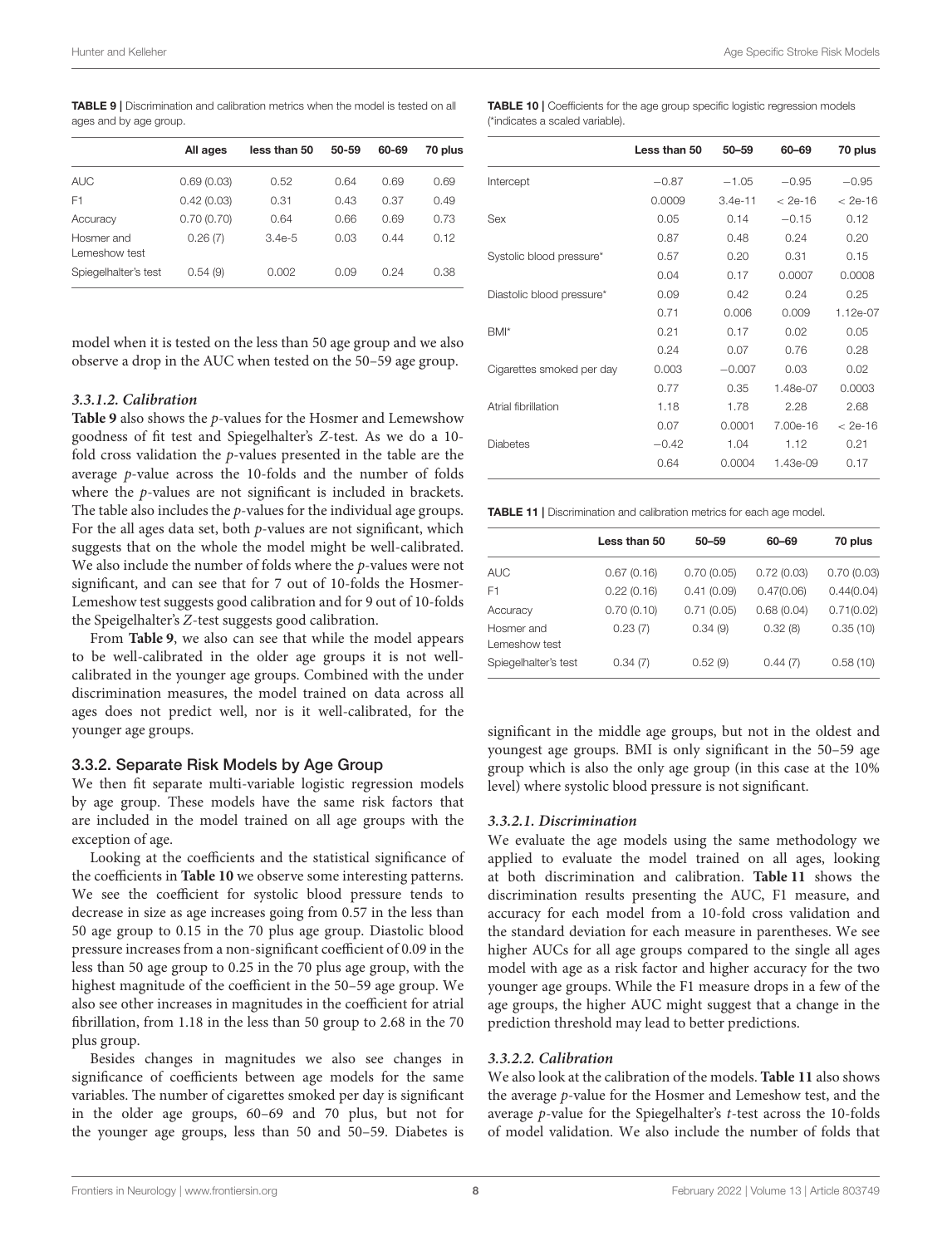<span id="page-8-0"></span>TABLE 9 | Discrimination and calibration metrics when the model is tested on all ages and by age group.

|                             | All ages   | less than 50 | 50-59 | 60-69 | 70 plus |
|-----------------------------|------------|--------------|-------|-------|---------|
| <b>AUC</b>                  | 0.69(0.03) | 0.52         | 0.64  | 0.69  | 0.69    |
| F1                          | 0.42(0.03) | 0.31         | 0.43  | 0.37  | 0.49    |
| Accuracy                    | 0.70(0.70) | 0.64         | 0.66  | 0.69  | 0.73    |
| Hosmer and<br>Lemeshow test | 0.26(7)    | $3.4e-5$     | 0.03  | 0.44  | 0.12    |
| Spiegelhalter's test        | 0.54(9)    | 0.002        | 0.09  | 0.24  | 0.38    |

model when it is tested on the less than 50 age group and we also observe a drop in the AUC when tested on the 50–59 age group.

#### **3.3.1.2. Calibration**

**[Table 9](#page-8-0)** also shows the p-values for the Hosmer and Lemewshow goodness of fit test and Spiegelhalter's Z-test. As we do a 10 fold cross validation the p-values presented in the table are the average p-value across the 10-folds and the number of folds where the p-values are not significant is included in brackets. The table also includes the p-values for the individual age groups. For the all ages data set, both  $p$ -values are not significant, which suggests that on the whole the model might be well-calibrated. We also include the number of folds where the p-values were not significant, and can see that for 7 out of 10-folds the Hosmer-Lemeshow test suggests good calibration and for 9 out of 10-folds the Speigelhalter's Z-test suggests good calibration.

From **[Table 9](#page-8-0)**, we also can see that while the model appears to be well-calibrated in the older age groups it is not wellcalibrated in the younger age groups. Combined with the under discrimination measures, the model trained on data across all ages does not predict well, nor is it well-calibrated, for the younger age groups.

#### 3.3.2. Separate Risk Models by Age Group

We then fit separate multi-variable logistic regression models by age group. These models have the same risk factors that are included in the model trained on all age groups with the exception of age.

Looking at the coefficients and the statistical significance of the coefficients in **[Table 10](#page-8-1)** we observe some interesting patterns. We see the coefficient for systolic blood pressure tends to decrease in size as age increases going from 0.57 in the less than 50 age group to 0.15 in the 70 plus age group. Diastolic blood pressure increases from a non-significant coefficient of 0.09 in the less than 50 age group to 0.25 in the 70 plus age group, with the highest magnitude of the coefficient in the 50–59 age group. We also see other increases in magnitudes in the coefficient for atrial fibrillation, from 1.18 in the less than 50 group to 2.68 in the 70 plus group.

Besides changes in magnitudes we also see changes in significance of coefficients between age models for the same variables. The number of cigarettes smoked per day is significant in the older age groups, 60–69 and 70 plus, but not for the younger age groups, less than 50 and 50–59. Diabetes is

<span id="page-8-1"></span>TABLE 10 | Coefficients for the age group specific logistic regression models (\*indicates a scaled variable).

|                           | Less than 50 | $50 - 59$ | 60-69    | 70 plus     |
|---------------------------|--------------|-----------|----------|-------------|
| Intercept                 | $-0.87$      | $-1.05$   | $-0.95$  | $-0.95$     |
|                           | 0.0009       | $3.4e-11$ | < 2e-16  | $< 2e - 16$ |
| Sex                       | 0.05         | 0.14      | $-0.15$  | 0.12        |
|                           | 0.87         | 0.48      | 0.24     | 0.20        |
| Systolic blood pressure*  | 0.57         | 0.20      | 0.31     | 0.15        |
|                           | 0.04         | 0.17      | 0.0007   | 0.0008      |
| Diastolic blood pressure* | 0.09         | 0.42      | 0.24     | 0.25        |
|                           | 0.71         | 0.006     | 0.009    | $1.12e-07$  |
| BMI*                      | 0.21         | 0.17      | 0.02     | 0.05        |
|                           | 0.24         | 0.07      | 0.76     | 0.28        |
| Cigarettes smoked per day | 0.003        | $-0.007$  | 0.03     | 0.02        |
|                           | 0.77         | 0.35      | 1.48e-07 | 0.0003      |
| Atrial fibrillation       | 1.18         | 1.78      | 2.28     | 2.68        |
|                           | 0.07         | 0.0001    | 7.00e-16 | $< 2e - 16$ |
| <b>Diabetes</b>           | $-0.42$      | 1.04      | 1.12     | 0.21        |
|                           | 0.64         | 0.0004    | 1.43e-09 | 0.17        |
|                           |              |           |          |             |

<span id="page-8-2"></span>TABLE 11 | Discrimination and calibration metrics for each age model.

|                             | Less than 50 | $50 - 59$  | 60-69      | 70 plus    |
|-----------------------------|--------------|------------|------------|------------|
| <b>AUC</b>                  | 0.67(0.16)   | 0.70(0.05) | 0.72(0.03) | 0.70(0.03) |
| F <sub>1</sub>              | 0.22(0.16)   | 0.41(0.09) | 0.47(0.06) | 0.44(0.04) |
| Accuracy                    | 0.70(0.10)   | 0.71(0.05) | 0.68(0.04) | 0.71(0.02) |
| Hosmer and<br>Lemeshow test | 0.23(7)      | 0.34(9)    | 0.32(8)    | 0.35(10)   |
| Spiegelhalter's test        | 0.34(7)      | 0.52(9)    | 0.44(7)    | 0.58(10)   |

significant in the middle age groups, but not in the oldest and youngest age groups. BMI is only significant in the 50–59 age group which is also the only age group (in this case at the 10% level) where systolic blood pressure is not significant.

#### **3.3.2.1. Discrimination**

We evaluate the age models using the same methodology we applied to evaluate the model trained on all ages, looking at both discrimination and calibration. **[Table 11](#page-8-2)** shows the discrimination results presenting the AUC, F1 measure, and accuracy for each model from a 10-fold cross validation and the standard deviation for each measure in parentheses. We see higher AUCs for all age groups compared to the single all ages model with age as a risk factor and higher accuracy for the two younger age groups. While the F1 measure drops in a few of the age groups, the higher AUC might suggest that a change in the prediction threshold may lead to better predictions.

#### **3.3.2.2. Calibration**

We also look at the calibration of the models. **[Table 11](#page-8-2)** also shows the average p-value for the Hosmer and Lemeshow test, and the average p-value for the Spiegelhalter's t-test across the 10-folds of model validation. We also include the number of folds that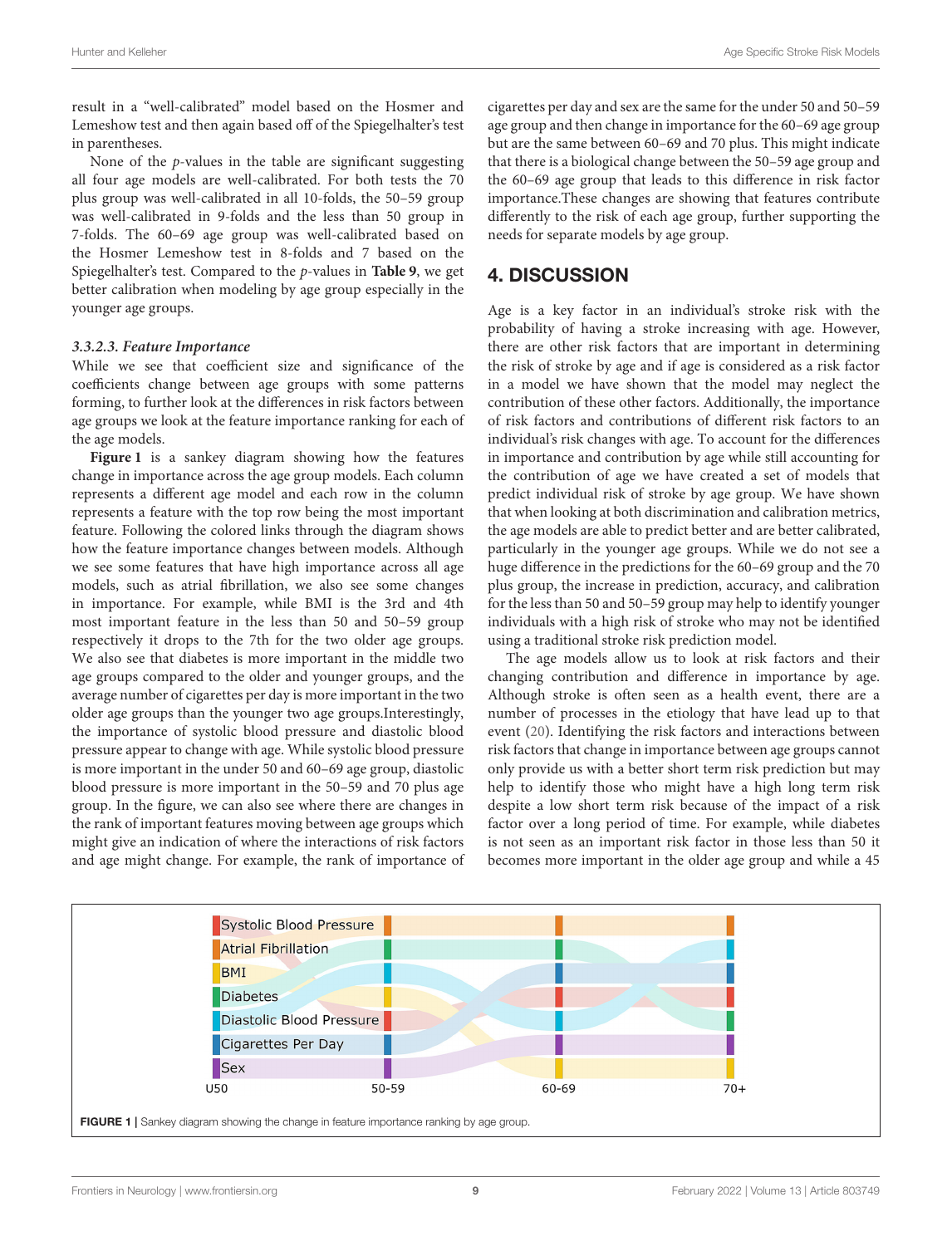result in a "well-calibrated" model based on the Hosmer and Lemeshow test and then again based off of the Spiegelhalter's test in parentheses.

None of the  $p$ -values in the table are significant suggesting all four age models are well-calibrated. For both tests the 70 plus group was well-calibrated in all 10-folds, the 50–59 group was well-calibrated in 9-folds and the less than 50 group in 7-folds. The 60–69 age group was well-calibrated based on the Hosmer Lemeshow test in 8-folds and 7 based on the Spiegelhalter's test. Compared to the p-values in **[Table 9](#page-8-0)**, we get better calibration when modeling by age group especially in the younger age groups.

#### **3.3.2.3. Feature Importance**

While we see that coefficient size and significance of the coefficients change between age groups with some patterns forming, to further look at the differences in risk factors between age groups we look at the feature importance ranking for each of the age models.

**[Figure 1](#page-9-0)** is a sankey diagram showing how the features change in importance across the age group models. Each column represents a different age model and each row in the column represents a feature with the top row being the most important feature. Following the colored links through the diagram shows how the feature importance changes between models. Although we see some features that have high importance across all age models, such as atrial fibrillation, we also see some changes in importance. For example, while BMI is the 3rd and 4th most important feature in the less than 50 and 50–59 group respectively it drops to the 7th for the two older age groups. We also see that diabetes is more important in the middle two age groups compared to the older and younger groups, and the average number of cigarettes per day is more important in the two older age groups than the younger two age groups.Interestingly, the importance of systolic blood pressure and diastolic blood pressure appear to change with age. While systolic blood pressure is more important in the under 50 and 60–69 age group, diastolic blood pressure is more important in the 50–59 and 70 plus age group. In the figure, we can also see where there are changes in the rank of important features moving between age groups which might give an indication of where the interactions of risk factors and age might change. For example, the rank of importance of

cigarettes per day and sex are the same for the under 50 and 50–59 age group and then change in importance for the 60–69 age group but are the same between 60–69 and 70 plus. This might indicate that there is a biological change between the 50–59 age group and the 60–69 age group that leads to this difference in risk factor importance.These changes are showing that features contribute differently to the risk of each age group, further supporting the needs for separate models by age group.

# 4. DISCUSSION

Age is a key factor in an individual's stroke risk with the probability of having a stroke increasing with age. However, there are other risk factors that are important in determining the risk of stroke by age and if age is considered as a risk factor in a model we have shown that the model may neglect the contribution of these other factors. Additionally, the importance of risk factors and contributions of different risk factors to an individual's risk changes with age. To account for the differences in importance and contribution by age while still accounting for the contribution of age we have created a set of models that predict individual risk of stroke by age group. We have shown that when looking at both discrimination and calibration metrics, the age models are able to predict better and are better calibrated, particularly in the younger age groups. While we do not see a huge difference in the predictions for the 60–69 group and the 70 plus group, the increase in prediction, accuracy, and calibration for the less than 50 and 50–59 group may help to identify younger individuals with a high risk of stroke who may not be identified using a traditional stroke risk prediction model.

The age models allow us to look at risk factors and their changing contribution and difference in importance by age. Although stroke is often seen as a health event, there are a number of processes in the etiology that have lead up to that event [\(20\)](#page-11-12). Identifying the risk factors and interactions between risk factors that change in importance between age groups cannot only provide us with a better short term risk prediction but may help to identify those who might have a high long term risk despite a low short term risk because of the impact of a risk factor over a long period of time. For example, while diabetes is not seen as an important risk factor in those less than 50 it becomes more important in the older age group and while a 45

<span id="page-9-0"></span>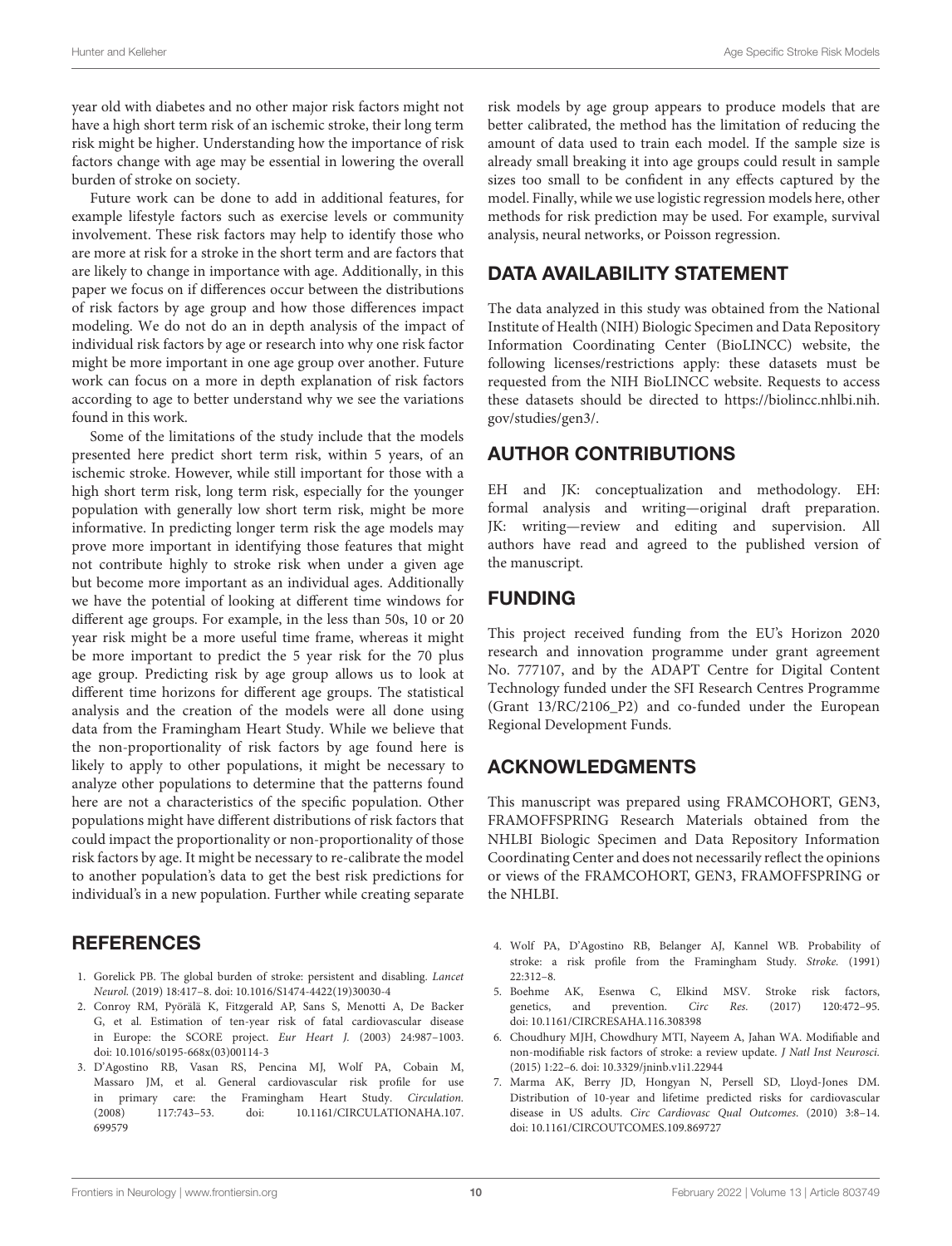year old with diabetes and no other major risk factors might not have a high short term risk of an ischemic stroke, their long term risk might be higher. Understanding how the importance of risk factors change with age may be essential in lowering the overall burden of stroke on society.

Future work can be done to add in additional features, for example lifestyle factors such as exercise levels or community involvement. These risk factors may help to identify those who are more at risk for a stroke in the short term and are factors that are likely to change in importance with age. Additionally, in this paper we focus on if differences occur between the distributions of risk factors by age group and how those differences impact modeling. We do not do an in depth analysis of the impact of individual risk factors by age or research into why one risk factor might be more important in one age group over another. Future work can focus on a more in depth explanation of risk factors according to age to better understand why we see the variations found in this work.

Some of the limitations of the study include that the models presented here predict short term risk, within 5 years, of an ischemic stroke. However, while still important for those with a high short term risk, long term risk, especially for the younger population with generally low short term risk, might be more informative. In predicting longer term risk the age models may prove more important in identifying those features that might not contribute highly to stroke risk when under a given age but become more important as an individual ages. Additionally we have the potential of looking at different time windows for different age groups. For example, in the less than 50s, 10 or 20 year risk might be a more useful time frame, whereas it might be more important to predict the 5 year risk for the 70 plus age group. Predicting risk by age group allows us to look at different time horizons for different age groups. The statistical analysis and the creation of the models were all done using data from the Framingham Heart Study. While we believe that the non-proportionality of risk factors by age found here is likely to apply to other populations, it might be necessary to analyze other populations to determine that the patterns found here are not a characteristics of the specific population. Other populations might have different distributions of risk factors that could impact the proportionality or non-proportionality of those risk factors by age. It might be necessary to re-calibrate the model to another population's data to get the best risk predictions for individual's in a new population. Further while creating separate

# **REFERENCES**

- <span id="page-10-0"></span>1. Gorelick PB. The global burden of stroke: persistent and disabling. Lancet Neurol. (2019) 18:417–8. doi: [10.1016/S1474-4422\(19\)30030-4](https://doi.org/10.1016/S1474-4422(19)30030-4)
- <span id="page-10-1"></span>2. Conroy RM, Pyörälä K, Fitzgerald AP, Sans S, Menotti A, De Backer G, et al. Estimation of ten-year risk of fatal cardiovascular disease in Europe: the SCORE project. Eur Heart J. (2003) 24:987–1003. doi: [10.1016/s0195-668x\(03\)00114-3](https://doi.org/10.1016/s0195-668x(03)00114-3)
- <span id="page-10-2"></span>3. D'Agostino RB, Vasan RS, Pencina MJ, Wolf PA, Cobain M, Massaro JM, et al. General cardiovascular risk profile for use in primary care: the Framingham Heart Study. Circulation. [\(2008\) 117:743–53. doi: 10.1161/CIRCULATIONAHA.107.](https://doi.org/10.1161/CIRCULATIONAHA.107.699579) 699579

risk models by age group appears to produce models that are better calibrated, the method has the limitation of reducing the amount of data used to train each model. If the sample size is already small breaking it into age groups could result in sample sizes too small to be confident in any effects captured by the model. Finally, while we use logistic regression models here, other methods for risk prediction may be used. For example, survival analysis, neural networks, or Poisson regression.

# DATA AVAILABILITY STATEMENT

The data analyzed in this study was obtained from the National Institute of Health (NIH) Biologic Specimen and Data Repository Information Coordinating Center (BioLINCC) website, the following licenses/restrictions apply: these datasets must be requested from the NIH BioLINCC website. Requests to access these datasets should be directed to [https://biolincc.nhlbi.nih.](https://biolincc.nhlbi.nih.gov/studies/gen3/) [gov/studies/gen3/.](https://biolincc.nhlbi.nih.gov/studies/gen3/)

# AUTHOR CONTRIBUTIONS

EH and JK: conceptualization and methodology. EH: formal analysis and writing—original draft preparation. JK: writing—review and editing and supervision. All authors have read and agreed to the published version of the manuscript.

# FUNDING

This project received funding from the EU's Horizon 2020 research and innovation programme under grant agreement No. 777107, and by the ADAPT Centre for Digital Content Technology funded under the SFI Research Centres Programme (Grant 13/RC/2106\_P2) and co-funded under the European Regional Development Funds.

# ACKNOWLEDGMENTS

This manuscript was prepared using FRAMCOHORT, GEN3, FRAMOFFSPRING Research Materials obtained from the NHLBI Biologic Specimen and Data Repository Information Coordinating Center and does not necessarily reflect the opinions or views of the FRAMCOHORT, GEN3, FRAMOFFSPRING or the NHLBI.

- <span id="page-10-3"></span>4. Wolf PA, D'Agostino RB, Belanger AJ, Kannel WB. Probability of stroke: a risk profile from the Framingham Study. Stroke. (1991) 22:312–8.
- <span id="page-10-4"></span>5. Boehme AK, Esenwa C, Elkind MSV. Stroke risk factors, genetics, and prevention. Circ Res. (2017) 120:472–95. doi: [10.1161/CIRCRESAHA.116.308398](https://doi.org/10.1161/CIRCRESAHA.116.308398)
- <span id="page-10-5"></span>6. Choudhury MJH, Chowdhury MTI, Nayeem A, Jahan WA. Modifiable and non-modifiable risk factors of stroke: a review update. J Natl Inst Neurosci. (2015) 1:22–6. doi: [10.3329/jninb.v1i1.22944](https://doi.org/10.3329/jninb.v1i1.22944)
- <span id="page-10-6"></span>7. Marma AK, Berry JD, Hongyan N, Persell SD, Lloyd-Jones DM. Distribution of 10-year and lifetime predicted risks for cardiovascular disease in US adults. Circ Cardiovasc Qual Outcomes. (2010) 3:8–14. doi: [10.1161/CIRCOUTCOMES.109.869727](https://doi.org/10.1161/CIRCOUTCOMES.109.869727)